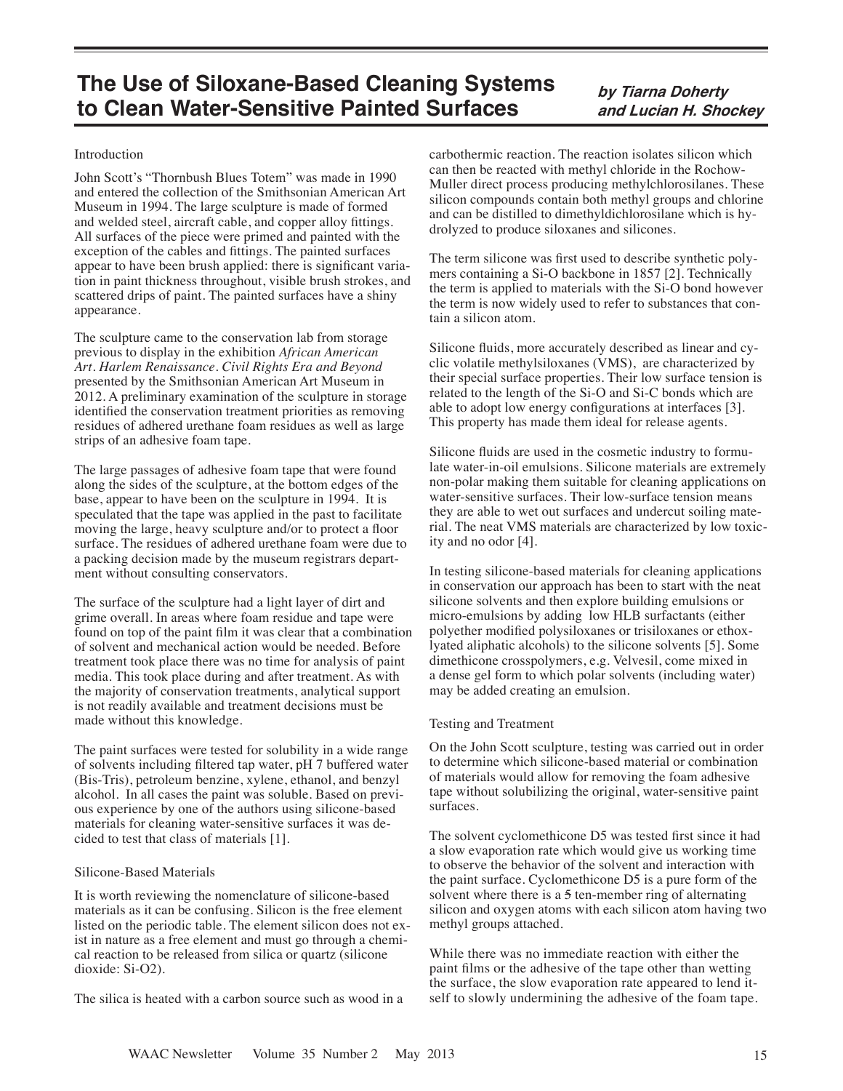# **The Use of Siloxane-Based Cleaning Systems to Clean Water-Sensitive Painted Surfaces**

**by Tiarna Doherty and Lucian H. Shockey**

#### Introduction

John Scott's "Thornbush Blues Totem" was made in 1990 and entered the collection of the Smithsonian American Art Museum in 1994. The large sculpture is made of formed and welded steel, aircraft cable, and copper alloy fittings. All surfaces of the piece were primed and painted with the exception of the cables and fittings. The painted surfaces appear to have been brush applied: there is significant variation in paint thickness throughout, visible brush strokes, and scattered drips of paint. The painted surfaces have a shiny appearance.

The sculpture came to the conservation lab from storage previous to display in the exhibition *African American Art. Harlem Renaissance. Civil Rights Era and Beyond*  presented by the Smithsonian American Art Museum in 2012. A preliminary examination of the sculpture in storage identified the conservation treatment priorities as removing residues of adhered urethane foam residues as well as large strips of an adhesive foam tape.

The large passages of adhesive foam tape that were found along the sides of the sculpture, at the bottom edges of the base, appear to have been on the sculpture in 1994. It is speculated that the tape was applied in the past to facilitate moving the large, heavy sculpture and/or to protect a floor surface. The residues of adhered urethane foam were due to a packing decision made by the museum registrars department without consulting conservators.

The surface of the sculpture had a light layer of dirt and grime overall. In areas where foam residue and tape were found on top of the paint film it was clear that a combination of solvent and mechanical action would be needed. Before treatment took place there was no time for analysis of paint media. This took place during and after treatment. As with the majority of conservation treatments, analytical support is not readily available and treatment decisions must be made without this knowledge.

The paint surfaces were tested for solubility in a wide range of solvents including filtered tap water, pH 7 buffered water (Bis-Tris), petroleum benzine, xylene, ethanol, and benzyl alcohol. In all cases the paint was soluble. Based on previous experience by one of the authors using silicone-based materials for cleaning water-sensitive surfaces it was decided to test that class of materials [1].

# Silicone-Based Materials

It is worth reviewing the nomenclature of silicone-based materials as it can be confusing. Silicon is the free element listed on the periodic table. The element silicon does not exist in nature as a free element and must go through a chemical reaction to be released from silica or quartz (silicone dioxide: Si-O2).

The silica is heated with a carbon source such as wood in a

carbothermic reaction. The reaction isolates silicon which can then be reacted with methyl chloride in the Rochow-Muller direct process producing methylchlorosilanes. These silicon compounds contain both methyl groups and chlorine and can be distilled to dimethyldichlorosilane which is hydrolyzed to produce siloxanes and silicones.

The term silicone was first used to describe synthetic polymers containing a Si-O backbone in 1857 [2]. Technically the term is applied to materials with the Si-O bond however the term is now widely used to refer to substances that contain a silicon atom.

Silicone fluids, more accurately described as linear and cyclic volatile methylsiloxanes (VMS), are characterized by their special surface properties. Their low surface tension is related to the length of the Si-O and Si-C bonds which are able to adopt low energy configurations at interfaces [3]. This property has made them ideal for release agents.

Silicone fluids are used in the cosmetic industry to formulate water-in-oil emulsions. Silicone materials are extremely non-polar making them suitable for cleaning applications on water-sensitive surfaces. Their low-surface tension means they are able to wet out surfaces and undercut soiling material. The neat VMS materials are characterized by low toxicity and no odor [4].

In testing silicone-based materials for cleaning applications in conservation our approach has been to start with the neat silicone solvents and then explore building emulsions or micro-emulsions by adding low HLB surfactants (either polyether modified polysiloxanes or trisiloxanes or ethoxlyated aliphatic alcohols) to the silicone solvents [5]. Some dimethicone crosspolymers, e.g. Velvesil, come mixed in a dense gel form to which polar solvents (including water) may be added creating an emulsion.

# Testing and Treatment

On the John Scott sculpture, testing was carried out in order to determine which silicone-based material or combination of materials would allow for removing the foam adhesive tape without solubilizing the original, water-sensitive paint surfaces.

The solvent cyclomethicone D5 was tested first since it had a slow evaporation rate which would give us working time to observe the behavior of the solvent and interaction with the paint surface. Cyclomethicone D5 is a pure form of the solvent where there is a  $5$  ten-member ring of alternating silicon and oxygen atoms with each silicon atom having two methyl groups attached.

While there was no immediate reaction with either the paint films or the adhesive of the tape other than wetting the surface, the slow evaporation rate appeared to lend itself to slowly undermining the adhesive of the foam tape.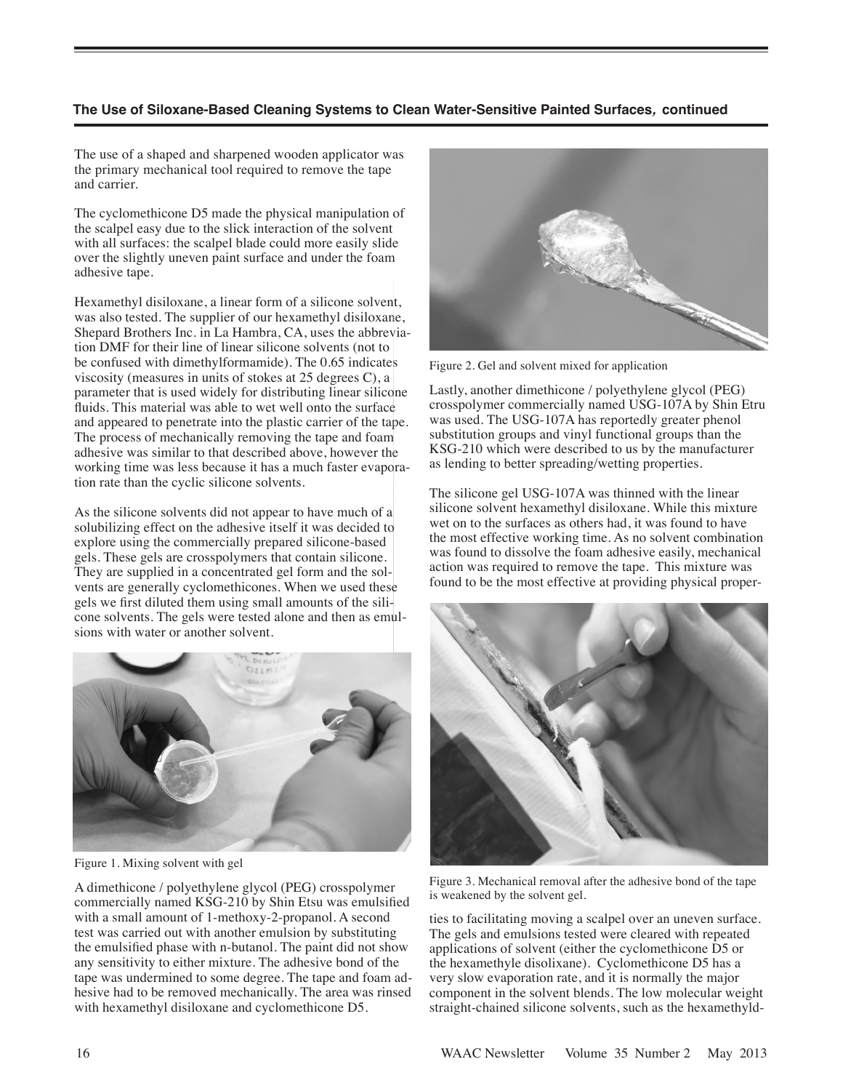# **The Use of Siloxane-Based Cleaning Systems to Clean Water-Sensitive Painted Surfaces, continued**

The use of a shaped and sharpened wooden applicator was the primary mechanical tool required to remove the tape and carrier.

The cyclomethicone D5 made the physical manipulation of the scalpel easy due to the slick interaction of the solvent with all surfaces: the scalpel blade could more easily slide over the slightly uneven paint surface and under the foam adhesive tape.

Hexamethyl disiloxane, a linear form of a silicone solvent, was also tested. The supplier of our hexamethyl disiloxane, Shepard Brothers Inc. in La Hambra, CA, uses the abbreviation DMF for their line of linear silicone solvents (not to be confused with dimethylformamide). The 0.65 indicates viscosity (measures in units of stokes at 25 degrees C), a parameter that is used widely for distributing linear silicone fluids. This material was able to wet well onto the surface and appeared to penetrate into the plastic carrier of the tape. The process of mechanically removing the tape and foam adhesive was similar to that described above, however the working time was less because it has a much faster evaporation rate than the cyclic silicone solvents.

As the silicone solvents did not appear to have much of a solubilizing effect on the adhesive itself it was decided to explore using the commercially prepared silicone-based gels. These gels are crosspolymers that contain silicone. They are supplied in a concentrated gel form and the solvents are generally cyclomethicones. When we used these gels we first diluted them using small amounts of the silicone solvents. The gels were tested alone and then as emulsions with water or another solvent.



Figure 1. Mixing solvent with gel

A dimethicone / polyethylene glycol (PEG) crosspolymer commercially named KSG-210 by Shin Etsu was emulsified with a small amount of 1-methoxy-2-propanol. A second test was carried out with another emulsion by substituting the emulsified phase with n-butanol. The paint did not show any sensitivity to either mixture. The adhesive bond of the tape was undermined to some degree. The tape and foam adhesive had to be removed mechanically. The area was rinsed with hexamethyl disiloxane and cyclomethicone D5.



Figure 2. Gel and solvent mixed for application

Lastly, another dimethicone / polyethylene glycol (PEG) crosspolymer commercially named USG-107A by Shin Etru was used. The USG-107A has reportedly greater phenol substitution groups and vinyl functional groups than the KSG-210 which were described to us by the manufacturer as lending to better spreading/wetting properties.

The silicone gel USG-107A was thinned with the linear silicone solvent hexamethyl disiloxane. While this mixture wet on to the surfaces as others had, it was found to have the most effective working time. As no solvent combination was found to dissolve the foam adhesive easily, mechanical action was required to remove the tape. This mixture was found to be the most effective at providing physical proper-



Figure 3. Mechanical removal after the adhesive bond of the tape is weakened by the solvent gel.

ties to facilitating moving a scalpel over an uneven surface. The gels and emulsions tested were cleared with repeated applications of solvent (either the cyclomethicone D5 or the hexamethyle disolixane). Cyclomethicone D5 has a very slow evaporation rate, and it is normally the major component in the solvent blends. The low molecular weight straight-chained silicone solvents, such as the hexamethyld-